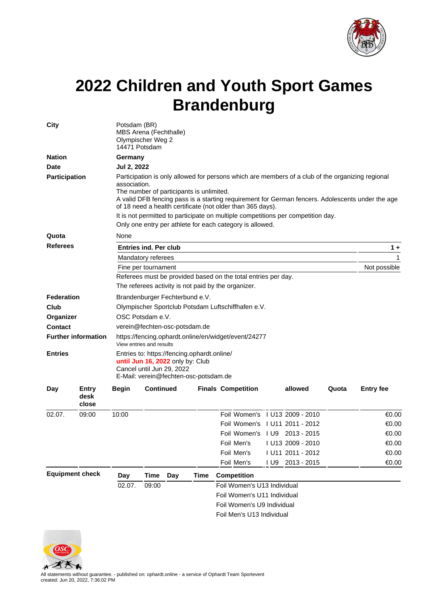

## **2022 Children and Youth Sport Games Brandenburg**

| City                                                              |       | Potsdam (BR)<br>MBS Arena (Fechthalle)<br>Olympischer Weg 2<br>14471 Potsdam                                                                                                                                                                                                                                                                                                                                                                                                   |                        |              |                  |                                                                                                                       |  |                           |  |         |       |                  |                                                                                  |  |                                                                                                                                                       |  |  |  |  |  |  |  |
|-------------------------------------------------------------------|-------|--------------------------------------------------------------------------------------------------------------------------------------------------------------------------------------------------------------------------------------------------------------------------------------------------------------------------------------------------------------------------------------------------------------------------------------------------------------------------------|------------------------|--------------|------------------|-----------------------------------------------------------------------------------------------------------------------|--|---------------------------|--|---------|-------|------------------|----------------------------------------------------------------------------------|--|-------------------------------------------------------------------------------------------------------------------------------------------------------|--|--|--|--|--|--|--|
| <b>Nation</b>                                                     |       | Germany                                                                                                                                                                                                                                                                                                                                                                                                                                                                        |                        |              |                  |                                                                                                                       |  |                           |  |         |       |                  |                                                                                  |  |                                                                                                                                                       |  |  |  |  |  |  |  |
| <b>Date</b>                                                       |       | Jul 2, 2022                                                                                                                                                                                                                                                                                                                                                                                                                                                                    |                        |              |                  |                                                                                                                       |  |                           |  |         |       |                  |                                                                                  |  |                                                                                                                                                       |  |  |  |  |  |  |  |
| <b>Participation</b>                                              |       | Participation is only allowed for persons which are members of a club of the organizing regional<br>association.<br>The number of participants is unlimited.<br>A valid DFB fencing pass is a starting requirement for German fencers. Adolescents under the age<br>of 18 need a health certificate (not older than 365 days).<br>It is not permitted to participate on multiple competitions per competition day.<br>Only one entry per athlete for each category is allowed. |                        |              |                  |                                                                                                                       |  |                           |  |         |       |                  |                                                                                  |  |                                                                                                                                                       |  |  |  |  |  |  |  |
| Quota                                                             |       | None                                                                                                                                                                                                                                                                                                                                                                                                                                                                           |                        |              |                  |                                                                                                                       |  |                           |  |         |       |                  |                                                                                  |  |                                                                                                                                                       |  |  |  |  |  |  |  |
| <b>Referees</b>                                                   |       | <b>Entries ind. Per club</b><br>$1 +$                                                                                                                                                                                                                                                                                                                                                                                                                                          |                        |              |                  |                                                                                                                       |  |                           |  |         |       |                  |                                                                                  |  |                                                                                                                                                       |  |  |  |  |  |  |  |
|                                                                   |       | Mandatory referees                                                                                                                                                                                                                                                                                                                                                                                                                                                             | 1                      |              |                  |                                                                                                                       |  |                           |  |         |       |                  |                                                                                  |  |                                                                                                                                                       |  |  |  |  |  |  |  |
|                                                                   |       | Fine per tournament                                                                                                                                                                                                                                                                                                                                                                                                                                                            | Not possible           |              |                  |                                                                                                                       |  |                           |  |         |       |                  |                                                                                  |  |                                                                                                                                                       |  |  |  |  |  |  |  |
|                                                                   |       | Referees must be provided based on the total entries per day.                                                                                                                                                                                                                                                                                                                                                                                                                  |                        |              |                  |                                                                                                                       |  |                           |  |         |       |                  |                                                                                  |  |                                                                                                                                                       |  |  |  |  |  |  |  |
|                                                                   |       | The referees activity is not paid by the organizer.                                                                                                                                                                                                                                                                                                                                                                                                                            |                        |              |                  |                                                                                                                       |  |                           |  |         |       |                  |                                                                                  |  |                                                                                                                                                       |  |  |  |  |  |  |  |
| <b>Federation</b>                                                 |       | Brandenburger Fechterbund e.V.                                                                                                                                                                                                                                                                                                                                                                                                                                                 |                        |              |                  |                                                                                                                       |  |                           |  |         |       |                  |                                                                                  |  |                                                                                                                                                       |  |  |  |  |  |  |  |
| Club<br>Organizer<br><b>Contact</b><br><b>Further information</b> |       | Olympischer Sportclub Potsdam Luftschiffhafen e.V.<br>OSC Potsdam e.V.<br>verein@fechten-osc-potsdam.de                                                                                                                                                                                                                                                                                                                                                                        |                        |              |                  |                                                                                                                       |  |                           |  |         |       |                  |                                                                                  |  |                                                                                                                                                       |  |  |  |  |  |  |  |
|                                                                   |       |                                                                                                                                                                                                                                                                                                                                                                                                                                                                                |                        |              |                  |                                                                                                                       |  |                           |  |         |       |                  | https://fencing.ophardt.online/en/widget/event/24277<br>View entries and results |  |                                                                                                                                                       |  |  |  |  |  |  |  |
|                                                                   |       |                                                                                                                                                                                                                                                                                                                                                                                                                                                                                |                        |              |                  |                                                                                                                       |  |                           |  |         |       |                  | <b>Entries</b>                                                                   |  | Entries to: https://fencing.ophardt.online/<br>until Jun 16, 2022 only by: Club<br>Cancel until Jun 29, 2022<br>E-Mail: verein@fechten-osc-potsdam.de |  |  |  |  |  |  |  |
|                                                                   |       | Day                                                                                                                                                                                                                                                                                                                                                                                                                                                                            | Entry<br>desk<br>close | <b>Begin</b> | <b>Continued</b> |                                                                                                                       |  | <b>Finals Competition</b> |  | allowed | Quota | <b>Entry fee</b> |                                                                                  |  |                                                                                                                                                       |  |  |  |  |  |  |  |
| 02.07.                                                            | 09:00 | 10:00                                                                                                                                                                                                                                                                                                                                                                                                                                                                          |                        |              |                  | Foil Women's 1 U13 2009 - 2010                                                                                        |  |                           |  | €0.00   |       |                  |                                                                                  |  |                                                                                                                                                       |  |  |  |  |  |  |  |
|                                                                   |       |                                                                                                                                                                                                                                                                                                                                                                                                                                                                                |                        |              |                  | Foil Women's   U11 2011 - 2012                                                                                        |  |                           |  | €0.00   |       |                  |                                                                                  |  |                                                                                                                                                       |  |  |  |  |  |  |  |
|                                                                   |       |                                                                                                                                                                                                                                                                                                                                                                                                                                                                                |                        |              |                  | Foil Women's 1 U9 2013 - 2015                                                                                         |  |                           |  | €0.00   |       |                  |                                                                                  |  |                                                                                                                                                       |  |  |  |  |  |  |  |
|                                                                   |       |                                                                                                                                                                                                                                                                                                                                                                                                                                                                                |                        |              |                  | Foil Men's                                                                                                            |  | LU13 2009 - 2010          |  | €0.00   |       |                  |                                                                                  |  |                                                                                                                                                       |  |  |  |  |  |  |  |
|                                                                   |       |                                                                                                                                                                                                                                                                                                                                                                                                                                                                                |                        |              |                  | Foil Men's                                                                                                            |  | I U11 2011 - 2012         |  | €0.00   |       |                  |                                                                                  |  |                                                                                                                                                       |  |  |  |  |  |  |  |
|                                                                   |       |                                                                                                                                                                                                                                                                                                                                                                                                                                                                                |                        |              |                  | Foil Men's                                                                                                            |  | I U9 2013 - 2015          |  | €0.00   |       |                  |                                                                                  |  |                                                                                                                                                       |  |  |  |  |  |  |  |
| <b>Equipment check</b>                                            |       | Day                                                                                                                                                                                                                                                                                                                                                                                                                                                                            | <b>Time</b>            | Day          | Time             | <b>Competition</b>                                                                                                    |  |                           |  |         |       |                  |                                                                                  |  |                                                                                                                                                       |  |  |  |  |  |  |  |
|                                                                   |       | 02.07.                                                                                                                                                                                                                                                                                                                                                                                                                                                                         | 09:00                  |              |                  | Foil Women's U13 Individual<br>Foil Women's U11 Individual<br>Foil Women's U9 Individual<br>Foil Men's U13 Individual |  |                           |  |         |       |                  |                                                                                  |  |                                                                                                                                                       |  |  |  |  |  |  |  |



All statements without guarantee. - published on: ophardt.online - a service of Ophardt Team Sportevent created: Jun 20, 2022, 7:36:02 PM